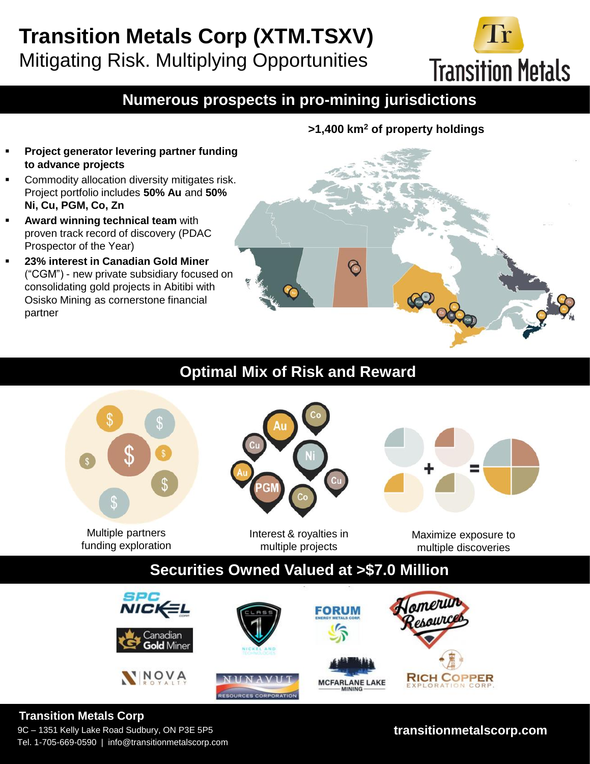# **Transition Metals Corp (XTM.TSXV)** Mitigating Risk. Multiplying Opportunities

**Transition Metals** 

# **Numerous prospects in pro-mining jurisdictions**

- **Project generator levering partner funding to advance projects**
- Commodity allocation diversity mitigates risk. Project portfolio includes **50% Au** and **50% Ni, Cu, PGM, Co, Zn**
- **Award winning technical team** with proven track record of discovery (PDAC Prospector of the Year)
- **23% interest in Canadian Gold Miner**  ("CGM") - new private subsidiary focused on consolidating gold projects in Abitibi with Osisko Mining as cornerstone financial partner

 $\varphi$ 

**>1,400 km<sup>2</sup> of property holdings**

### **Optimal Mix of Risk and Reward**



Multiple partners funding exploration



Interest & royalties in multiple projects

Maximize exposure to multiple discoveries

# **Securities Owned Valued at >\$7.0 Million**



### **Transition Metals Corp**

9C – 1351 Kelly Lake Road Sudbury, ON P3E 5P5 Tel. 1-705-669-0590 | info@transitionmetalscorp.com

### **transitionmetalscorp.com**